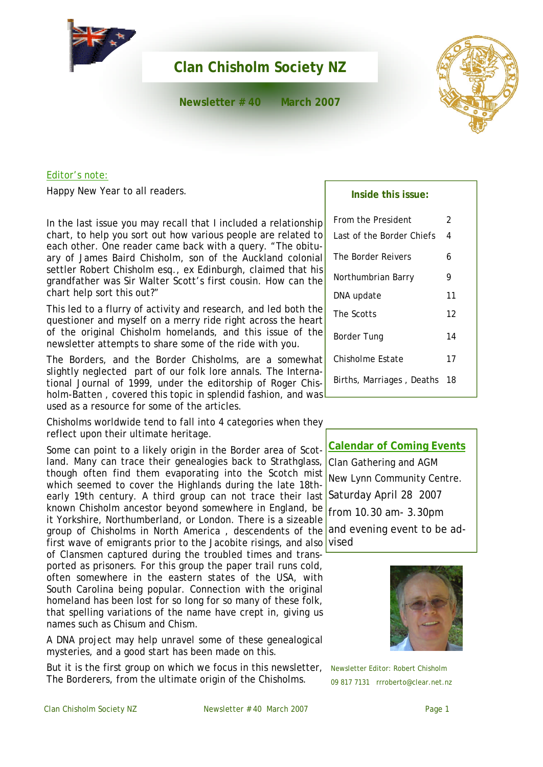

# **Clan Chisholm Society NZ**

**Newsletter # 40 March 2007**



# Editor's note:

Happy New Year to all readers.

In the last issue you may recall that I included a relationship chart, to help you sort out how various people are related to each other. One reader came back with a query. "The obituary of James Baird Chisholm, son of the Auckland colonial settler Robert Chisholm esq., ex Edinburgh, claimed that his grandfather was Sir Walter Scott's first cousin. How can the chart help sort this out?"

This led to a flurry of activity and research, and led both the questioner and myself on a merry ride right across the heart of the original Chisholm homelands, and this issue of the newsletter attempts to share some of the ride with you.

The Borders, and the Border Chisholms, are a somewhat slightly neglected part of our folk lore annals. The International Journal of 1999, under the editorship of Roger Chisholm-Batten , covered this topic in splendid fashion, and was used as a resource for some of the articles.

Chisholms worldwide tend to fall into 4 categories when they reflect upon their ultimate heritage.

early 19th century. A third group can not trace their last Saturday April 28 2007 group of Chisholms in North America, descendents of the and evening event to be ad-Some can point to a likely origin in the Border area of Scotland. Many can trace their genealogies back to Strathglass, though often find them evaporating into the Scotch mist which seemed to cover the Highlands during the late 18thknown Chisholm ancestor beyond somewhere in England, be it Yorkshire, Northumberland, or London. There is a sizeable first wave of emigrants prior to the Jacobite risings, and also

of Clansmen captured during the troubled times and transported as prisoners. For this group the paper trail runs cold, often somewhere in the eastern states of the USA, with South Carolina being popular. Connection with the original homeland has been lost for so long for so many of these folk, that spelling variations of the name have crept in, giving us names such as Chisum and Chism.

A DNA project may help unravel some of these genealogical mysteries, and a good start has been made on this.

But it is the first group on which we focus in this newsletter, The Borderers, from the ultimate origin of the Chisholms.

# **Inside this issue:**

| From the President        | 2  |
|---------------------------|----|
| Last of the Border Chiefs | 4  |
| The Border Reivers        | 6  |
| Northumbrian Barry        | 9  |
| DNA update                | 11 |
| The Scotts                | 12 |
| Border Tung               | 14 |
| Chisholme Estate          | 17 |
| Births, Marriages, Deaths | 18 |

**Calendar of Coming Events** Clan Gathering and AGM New Lynn Community Centre. from 10.30 am- 3.30pm vised



Newsletter Editor: Robert Chisholm 09 817 7131 rrroberto@clear.net.nz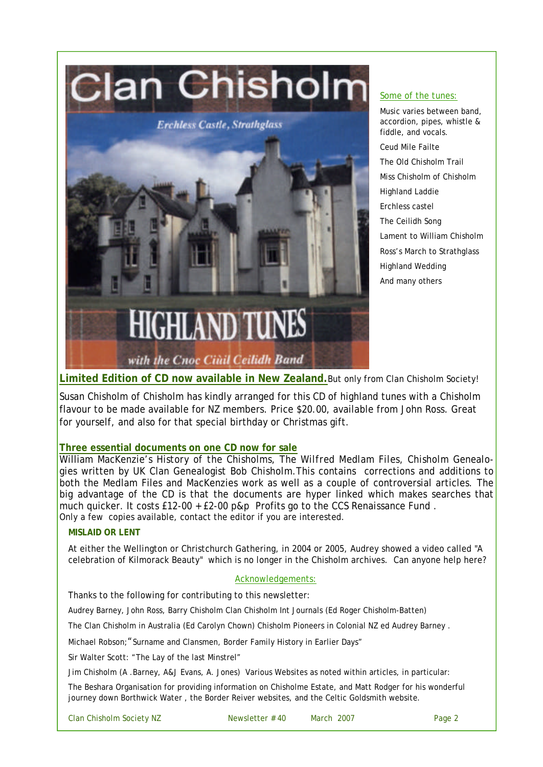

#### Some of the tunes:

Music varies between band, accordion, pipes, whistle & fiddle, and vocals. Ceud Mile Failte The Old Chisholm Trail Miss Chisholm of Chisholm Highland Laddie Erchless castel The Ceilidh Song Lament to William Chisholm Ross's March to Strathglass Highland Wedding And many others

**Limited Edition of CD now available in New Zealand.**But only from Clan Chisholm Society!

Susan Chisholm of Chisholm has kindly arranged for this CD of highland tunes with a Chisholm flavour to be made available for NZ members. Price \$20.00, available from John Ross. Great for yourself, and also for that special birthday or Christmas gift.

# **Three essential documents on one CD now for sale**

William MacKenzie's *History of the Chisholms*, The *Wilfred Medlam Files*, *Chisholm Genealogies* written by UK Clan Genealogist *Bob Chisholm.*This contains corrections and additions to both the Medlam Files and MacKenzies work as well as a couple of controversial articles. The big advantage of the CD is that the documents are hyper linked which makes searches that much quicker. It costs £12-00 + £2-00 p&p Profits go to the CCS *Renaissance Fund* . Only a few copies available, contact the editor if you are interested.

# **MISLAID OR LENT**

At either the Wellington or Christchurch Gathering, in 2004 or 2005, Audrey showed a video called "A celebration of Kilmorack Beauty" which is no longer in the Chisholm archives. Can anyone help here?

# Acknowledgements:

Thanks to the following for contributing to this newsletter:

Audrey Barney, John Ross, Barry Chisholm Clan Chisholm Int Journals (Ed Roger Chisholm-Batten)

The Clan Chisholm in Australia (Ed Carolyn Chown) Chisholm Pioneers in Colonial NZ ed Audrey Barney .

Michael Robson; "Surname and Clansmen, Border Family History in Earlier Days"

Sir Walter Scott: "The Lay of the last Minstrel"

Jim Chisholm (A .Barney, A&J Evans, A. Jones) Various Websites as noted within articles, in particular:

The Beshara Organisation for providing information on Chisholme Estate, and Matt Rodger for his wonderful journey down Borthwick Water , the Border Reiver websites, and the Celtic Goldsmith website.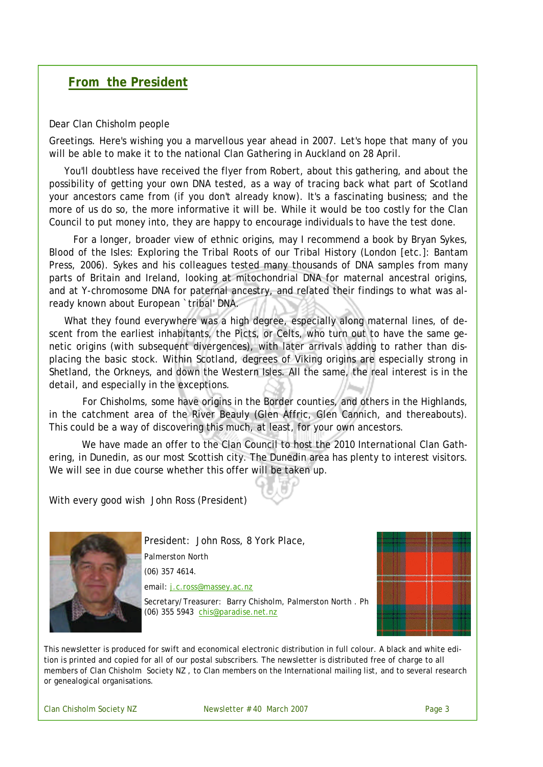# **From the President**

#### Dear Clan Chisholm people

Greetings. Here's wishing you a marvellous year ahead in 2007. Let's hope that many of you will be able to make it to the national Clan Gathering in Auckland on 28 April.

You'll doubtless have received the flyer from Robert, about this gathering, and about the possibility of getting your own DNA tested, as a way of tracing back what part of Scotland your ancestors came from (if you don't already know). It's a fascinating business; and the more of us do so, the more informative it will be. While it would be too costly for the Clan Council to put money into, they are happy to encourage individuals to have the test done.

For a longer, broader view of ethnic origins, may I recommend a book by Bryan Sykes, Blood of the Isles: Exploring the Tribal Roots of our Tribal History (London [etc.]: Bantam Press, 2006). Sykes and his colleagues tested many thousands of DNA samples from many parts of Britain and Ireland, looking at mitochondrial DNA for maternal ancestral origins, and at Y-chromosome DNA for paternal ancestry, and related their findings to what was already known about European `tribal' DNA.

What they found everywhere was a high degree, especially along maternal lines, of descent from the earliest inhabitants, the Picts, or Celts, who turn out to have the same genetic origins (with subsequent divergences), with later arrivals adding to rather than displacing the basic stock. Within Scotland, degrees of Viking origins are especially strong in Shetland, the Orkneys, and down the Western Isles. All the same, the real interest is in the detail, and especially in the exceptions.

For Chisholms, some have origins in the Border counties, and others in the Highlands, in the catchment area of the River Beauly (Glen Affric, Glen Cannich, and thereabouts). This could be a way of discovering this much, at least, for your own ancestors.

We have made an offer to the Clan Council to host the 2010 International Clan Gathering, in Dunedin, as our most Scottish city. The Dunedin area has plenty to interest visitors. We will see in due course whether this offer will be taken up.

With every good wish John Ross (President)



President: John Ross, 8 York Place, Palmerston North (06) 357 4614. email: j.c.ross@massey.ac.nz



Secretary/Treasurer: Barry Chisholm, Palmerston North . Ph (06) 355 5943 chis@paradise.net.nz

This newsletter is produced for swift and economical electronic distribution in full colour. A black and white edition is printed and copied for all of our postal subscribers. The newsletter is distributed free of charge to all members of Clan Chisholm Society NZ , to Clan members on the International mailing list, and to several research or genealogical organisations.

Clan Chisholm Society NZ Newsletter # 40 March 2007 Page 3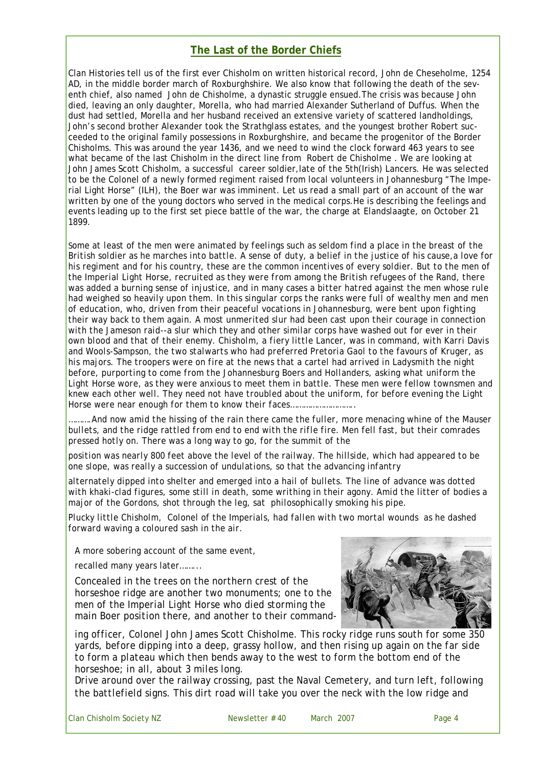# **The Last of the Border Chiefs**

Clan Histories tell us of the first ever Chisholm on written historical record, John de Cheseholme, 1254 AD, in the middle border march of Roxburghshire. We also know that following the death of the seventh chief, also named John de Chisholme, a dynastic struggle ensued.The crisis was because John died, leaving an only daughter, Morella, who had married Alexander Sutherland of Duffus. When the dust had settled, Morella and her husband received an extensive variety of scattered landholdings, John's second brother Alexander took the Strathglass estates, and the youngest brother Robert succeeded to the original family possessions in Roxburghshire, and became the progenitor of the Border Chisholms. This was around the year 1436, and we need to wind the clock forward 463 years to see what became of the last Chisholm in the direct line from Robert de Chisholme . We are looking at John James Scott Chisholm, a successful career soldier,late of the 5th(Irish) Lancers. He was selected to be the Colonel of a newly formed regiment raised from local volunteers in Johannesburg "The Imperial Light Horse" (ILH), the Boer war was imminent. Let us read a small part of an account of the war written by one of the young doctors who served in the medical corps.He is describing the feelings and events leading up to the first set piece battle of the war, the charge at Elandslaagte, on October 21 1899.

*Some at least of the men were animated by feelings such as seldom find a place in the breast of the British soldier as he marches into battle. A sense of duty, a belief in the justice of his cause,a love for*  his regiment and for his country, these are the common incentives of every soldier. But to the men of *the Imperial Light Horse, recruited as they were from among the British refugees of the Rand, there*  was added a burning sense of injustice, and in many cases a bitter hatred against the men whose rule had weighed so heavily upon them. In this singular corps the ranks were full of wealthy men and men *of education, who, driven from their peaceful vocations in Johannesburg, were bent upon fighting their way back to them again. A most unmerited slur had been cast upon their courage in connection with the Jameson raid--a slur which they and other similar corps have washed out for ever in their own blood and that of their enemy. Chisholm, a fiery little Lancer, was in command, with Karri Davis and Wools-Sampson, the two stalwarts who had preferred Pretoria Gaol to the favours of Kruger, as his majors. The troopers were on fire at the news that a cartel had arrived in Ladysmith the night before, purporting to come from the Johannesburg Boers and Hollanders, asking what uniform the Light Horse wore, as they were anxious to meet them in battle. These men were fellow townsmen and knew each other well. They need not have troubled about the uniform, for before evening the Light Horse were near enough for them to know their faces………………………..*

*……….And now amid the hissing of the rain there came the fuller, more menacing whine of the Mauser bullets, and the ridge rattled from end to end with the rifle fire. Men fell fast, but their comrades pressed hotly on. There was a long way to go, for the summit of the*

*position was nearly 800 feet above the level of the railway. The hillside, which had appeared to be one slope, was really a succession of undulations, so that the advancing infantry*

*alternately dipped into shelter and emerged into a hail of bullets. The line of advance was dotted with khaki-clad figures, some still in death, some writhing in their agony. Amid the litter of bodies a major of the Gordons, shot through the leg, sat philosophically smoking his pipe.* 

*Plucky little Chisholm, Colonel of the Imperials, had fallen with two mortal wounds as he dashed forward waving a coloured sash in the air.*

A more sobering account of the same event,

recalled many years later……...

*Concealed in the trees on the northern crest of the horseshoe ridge are another two monuments; one to the men of the Imperial Light Horse who died storming the main Boer position there, and another to their command-*



*ing officer, Colonel John James Scott Chisholme. This rocky ridge runs south for some 350 yards, before dipping into a deep, grassy hollow, and then rising up again on the far side*  to form a plateau which then bends away to the west to form the bottom end of the *horseshoe; in all, about 3 miles long.*

*Drive around over the railway crossing, past the Naval Cemetery, and turn left, following the battlefield signs. This dirt road will take you over the neck with the low ridge and*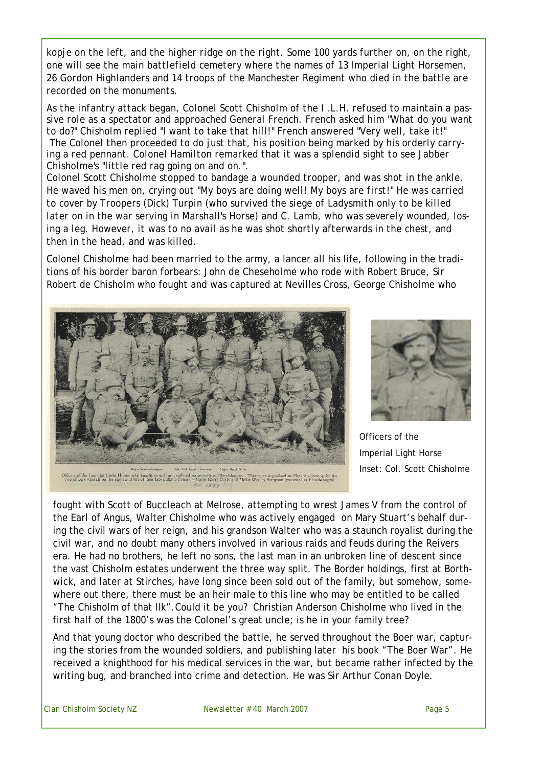*kopje on the left, and the higher ridge on the right. Some 100 yards further on, on the right, one will see the main battlefield cemetery where the names of 13 Imperial Light Horsemen, 26 Gordon Highlanders and 14 troops of the Manchester Regiment who died in the battle are recorded on the monuments.*

*As the infantry attack began, Colonel Scott Chisholm of the I .L.H. refused to maintain a passive role as a spectator and approached General French. French asked him "What do you want to do?" Chisholm replied "I want to take that hill!" French answered "Very well, take it!" The Colonel then proceeded to do just that, his position being marked by his orderly carrying a red pennant. Colonel Hamilton remarked that it was a splendid sight to see Jabber Chisholme's "little red rag going on and on.".*

*Colonel Scott Chisholme stopped to bandage a wounded trooper, and was shot in the ankle. He waved his men on, crying out "My boys are doing well! My boys are first!" He was carried to cover by Troopers (Dick) Turpin (who survived the siege of Ladysmith only to be killed later on in the war serving in Marshall's Horse) and C. Lamb, who was severely wounded, losing a leg. However, it was to no avail as he was shot shortly afterwards in the chest, and then in the head, and was killed.*

Colonel Chisholme had been married to the army, a lancer all his life, following in the traditions of his border baron forbears: John de Cheseholme who rode with Robert Bruce, Sir Robert de Chisholm who fought and was captured at Nevilles Cross, George Chisholme who





Officers of the Imperial Light Horse Inset: Col. Scott Chisholme

fought with Scott of Buccleach at Melrose, attempting to wrest James V from the control of the Earl of Angus, Walter Chisholme who was actively engaged on Mary Stuart's behalf during the civil wars of her reign, and his grandson Walter who was a staunch royalist during the civil war, and no doubt many others involved in various raids and feuds during the Reivers era. He had no brothers, he left no sons, the last man in an unbroken line of descent since the vast Chisholm estates underwent the three way split. The Border holdings, first at Borthwick, and later at Stirches, have long since been sold out of the family, but somehow, somewhere out there, there must be an heir male to this line who may be entitled to be called "The Chisholm of that Ilk".Could it be you? Christian Anderson Chisholme who lived in the first half of the 1800's was the Colonel's great uncle; is he in your family tree?

And that young doctor who described the battle, he served throughout the Boer war, capturing the stories from the wounded soldiers, and publishing later his book "The Boer War". He received a knighthood for his medical services in the war, but became rather infected by the writing bug, and branched into crime and detection. He was Sir Arthur Conan Doyle.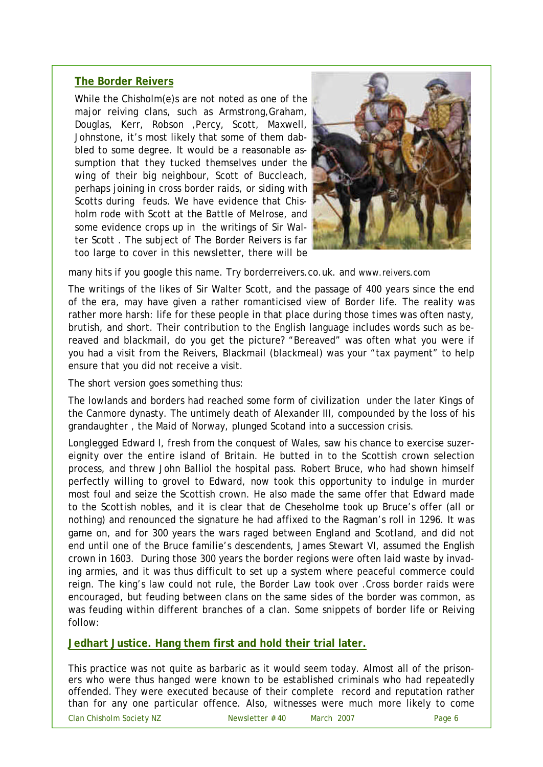# **The Border Reivers**

While the Chisholm(e)s are not noted as one of the major reiving clans, such as Armstrong,Graham, Douglas, Kerr, Robson ,Percy, Scott, Maxwell, Johnstone, it's most likely that some of them dabbled to some degree. It would be a reasonable assumption that they tucked themselves under the wing of their big neighbour, Scott of Buccleach, perhaps joining in cross border raids, or siding with Scotts during feuds. We have evidence that Chisholm rode with Scott at the Battle of Melrose, and some evidence crops up in the writings of Sir Walter Scott . The subject of The Border Reivers is far too large to cover in this newsletter, there will be



many hits if you google this name. Try borderreivers.co.uk. and www.reivers.com

The writings of the likes of Sir Walter Scott, and the passage of 400 years since the end of the era, may have given a rather romanticised view of Border life. The reality was rather more harsh: life for these people in that place during those times was often nasty, brutish, and short. Their contribution to the English language includes words such as bereaved and blackmail, do you get the picture? "Bereaved" was often what you were if you had a visit from the Reivers, Blackmail (blackmeal) was your "tax payment" to help ensure that you did not receive a visit.

The short version goes something thus:

The lowlands and borders had reached some form of civilization under the later Kings of the Canmore dynasty. The untimely death of Alexander III, compounded by the loss of his grandaughter , the Maid of Norway, plunged Scotand into a succession crisis.

Longlegged Edward I, fresh from the conquest of Wales, saw his chance to exercise suzereignity over the entire island of Britain. He butted in to the Scottish crown selection process, and threw John Balliol the hospital pass. Robert Bruce, who had shown himself perfectly willing to grovel to Edward, now took this opportunity to indulge in murder most foul and seize the Scottish crown. He also made the same offer that Edward made to the Scottish nobles, and it is clear that de Cheseholme took up Bruce's offer (all or nothing) and renounced the signature he had affixed to the Ragman's roll in 1296. It was game on, and for 300 years the wars raged between England and Scotland, and did not end until one of the Bruce familie's descendents, James Stewart VI, assumed the English crown in 1603. During those 300 years the border regions were often laid waste by invading armies, and it was thus difficult to set up a system where peaceful commerce could reign. The king's law could not rule, the Border Law took over .Cross border raids were encouraged, but feuding between clans on the same sides of the border was common, as was feuding within different branches of a clan. Some snippets of border life or Reiving follow:

**Jedhart Justice. Hang them first and hold their trial later.**

This practice was not quite as barbaric as it would seem today. Almost all of the prisoners who were thus hanged were known to be established criminals who had repeatedly offended. They were executed because of their complete record and reputation rather than for any one particular offence. Also, witnesses were much more likely to come

Clan Chisholm Society NZ Newsletter # 40 March 2007 Page 6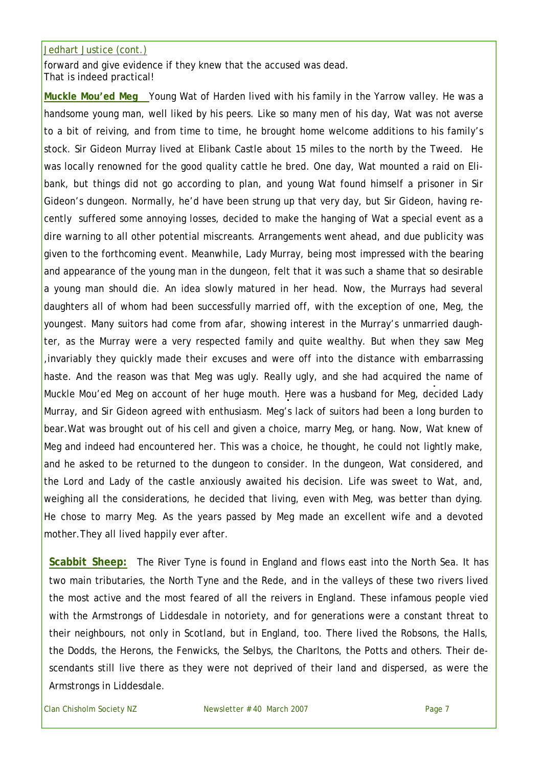#### Jedhart Justice (cont.)

forward and give evidence if they knew that the accused was dead. That is indeed practical!

**Muckle Mou'ed Meg** Young Wat of Harden lived with his family in the Yarrow valley. He was a handsome young man, well liked by his peers. Like so many men of his day, Wat was not averse to a bit of reiving, and from time to time, he brought home welcome additions to his family's stock. Sir Gideon Murray lived at Elibank Castle about 15 miles to the north by the Tweed. He was locally renowned for the good quality cattle he bred. One day, Wat mounted a raid on Elibank, but things did not go according to plan, and young Wat found himself a prisoner in Sir Gideon's dungeon. Normally, he'd have been strung up that very day, but Sir Gideon, having recently suffered some annoying losses, decided to make the hanging of Wat a special event as a dire warning to all other potential miscreants. Arrangements went ahead, and due publicity was given to the forthcoming event. Meanwhile, Lady Murray, being most impressed with the bearing and appearance of the young man in the dungeon, felt that it was such a shame that so desirable a young man should die. An idea slowly matured in her head. Now, the Murrays had several daughters all of whom had been successfully married off, with the exception of one, Meg, the youngest. Many suitors had come from afar, showing interest in the Murray's unmarried daughter, as the Murray were a very respected family and quite wealthy. But when they saw Meg ,invariably they quickly made their excuses and were off into the distance with embarrassing haste. And the reason was that Meg was ugly. Really ugly, and she had acquired the name of Muckle Mou'ed Meg on account of her huge mouth. Here was a husband for Meg, decided Lady Murray, and Sir Gideon agreed with enthusiasm. Meg's lack of suitors had been a long burden to bear.Wat was brought out of his cell and given a choice, marry Meg, or hang. Now, Wat knew of Meg and indeed had encountered her. This was a choice, he thought, he could not lightly make, and he asked to be returned to the dungeon to consider. In the dungeon, Wat considered, and the Lord and Lady of the castle anxiously awaited his decision. Life was sweet to Wat, and, weighing all the considerations, he decided that living, even with Meg, was better than dying. He chose to marry Meg. As the years passed by Meg made an excellent wife and a devoted mother.They all lived happily ever after.

**Scabbit Sheep:** The River Tyne is found in England and flows east into the North Sea. It has two main tributaries, the North Tyne and the Rede, and in the valleys of these two rivers lived the most active and the most feared of all the reivers in England. These infamous people vied with the Armstrongs of Liddesdale in notoriety, and for generations were a constant threat to their neighbours, not only in Scotland, but in England, too. There lived the Robsons, the Halls, the Dodds, the Herons, the Fenwicks, the Selbys, the Charltons, the Potts and others. Their descendants still live there as they were not deprived of their land and dispersed, as were the Armstrongs in Liddesdale.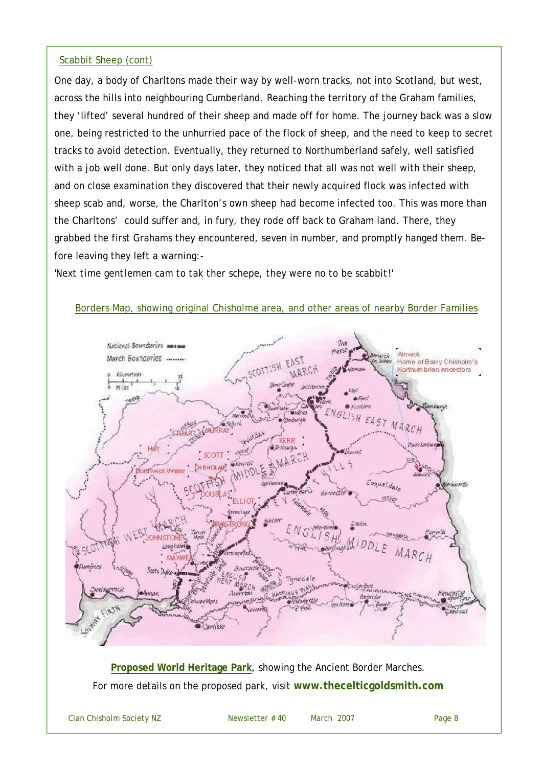# Scabbit Sheep (cont)

One day, a body of Charltons made their way by well-worn tracks, not into Scotland, but west, across the hills into neighbouring Cumberland. Reaching the territory of the Graham families, they 'lifted' several hundred of their sheep and made off for home. The journey back was a slow one, being restricted to the unhurried pace of the flock of sheep, and the need to keep to secret tracks to avoid detection. Eventually, they returned to Northumberland safely, well satisfied with a job well done. But only days later, they noticed that all was not well with their sheep, and on close examination they discovered that their newly acquired flock was infected with sheep scab and, worse, the Charlton's own sheep had become infected too. This was more than the Charltons' could suffer and, in fury, they rode off back to Graham land. There, they grabbed the first Grahams they encountered, seven in number, and promptly hanged them. Before leaving they left a warning:-

'*Next time gentlemen cam to tak ther schepe, they were no to be scabbit!'*



Borders Map, showing original Chisholme area, and other areas of nearby Border Families

**Proposed World Heritage Park**, showing the Ancient Border Marches. For more details on the proposed park, visit **www.thecelticgoldsmith.com**

Clan Chisholm Society NZ Newsletter # 40 March 2007 Page 8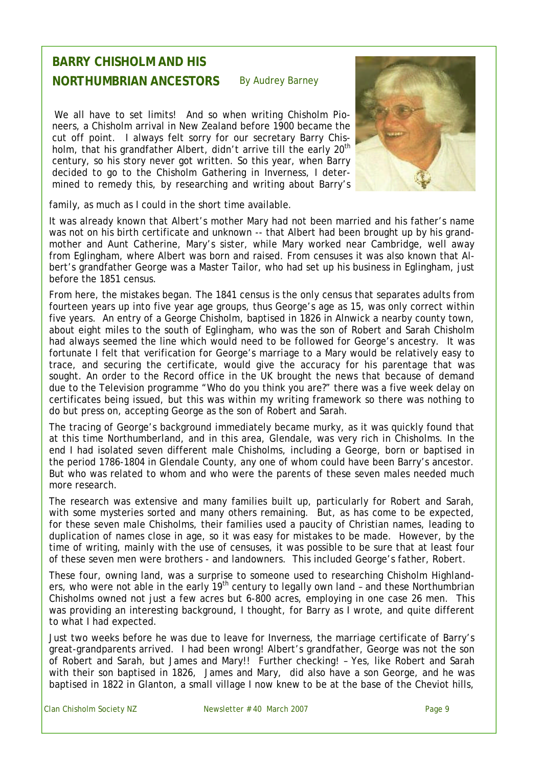### **BARRY CHISHOLM AND HIS NORTHUMBRIAN ANCESTORS** By Audrey Barney

We all have to set limits! And so when writing Chisholm Pioneers, a Chisholm arrival in New Zealand before 1900 became the cut off point. I always felt sorry for our secretary Barry Chisholm, that his grandfather Albert, didn't arrive till the early 20<sup>th</sup> century, so his story never got written. So this year, when Barry decided to go to the Chisholm Gathering in Inverness, I determined to remedy this, by researching and writing about Barry's



family, as much as I could in the short time available.

It was already known that Albert's mother Mary had not been married and his father's name was not on his birth certificate and unknown -- that Albert had been brought up by his grandmother and Aunt Catherine, Mary's sister, while Mary worked near Cambridge, well away from Eglingham, where Albert was born and raised. From censuses it was also known that Albert's grandfather George was a Master Tailor, who had set up his business in Eglingham, just before the 1851 census.

From here, the mistakes began. The 1841 census is the only census that separates adults from fourteen years up into five year age groups, thus George's age as 15, was only correct within five years. An entry of a George Chisholm, baptised in 1826 in Alnwick a nearby county town, about eight miles to the south of Eglingham, who was the son of Robert and Sarah Chisholm had always seemed the line which would need to be followed for George's ancestry. It was fortunate I felt that verification for George's marriage to a Mary would be relatively easy to trace, and securing the certificate, would give the accuracy for his parentage that was sought. An order to the Record office in the UK brought the news that because of demand due to the Television programme "Who do you think you are?" there was a five week delay on certificates being issued, but this was within my writing framework so there was nothing to do but press on, accepting George as the son of Robert and Sarah.

The tracing of George's background immediately became murky, as it was quickly found that at this time Northumberland, and in this area, Glendale, was very rich in Chisholms. In the end I had isolated seven different male Chisholms, including a George, born or baptised in the period 1786-1804 in Glendale County, any one of whom could have been Barry's ancestor. But who was related to whom and who were the parents of these seven males needed much more research.

The research was extensive and many families built up, particularly for Robert and Sarah, with some mysteries sorted and many others remaining. But, as has come to be expected, for these seven male Chisholms, their families used a paucity of Christian names, leading to duplication of names close in age, so it was easy for mistakes to be made. However, by the time of writing, mainly with the use of censuses, it was possible to be sure that at least four of these seven men were brothers - and landowners. This included George's father, Robert.

These four, owning land, was a surprise to someone used to researching Chisholm Highlanders, who were not able in the early 19<sup>th</sup> century to legally own land - and these Northumbrian Chisholms owned not just a few acres but 6-800 acres, employing in one case 26 men. This was providing an interesting background, I thought, for Barry as I wrote, and quite different to what I had expected.

Just two weeks before he was due to leave for Inverness, the marriage certificate of Barry's great-grandparents arrived. I had been wrong! Albert's grandfather, George was not the son of Robert and Sarah, but James and Mary!! Further checking! – Yes, like Robert and Sarah with their son baptised in 1826, James and Mary, did also have a son George, and he was baptised in 1822 in Glanton, a small village I now knew to be at the base of the Cheviot hills,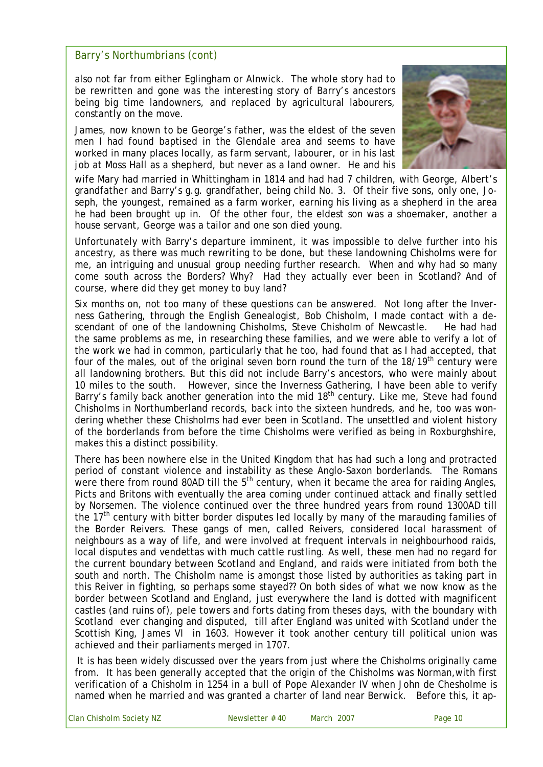# Barry's Northumbrians (cont)

also not far from either Eglingham or Alnwick. The whole story had to be rewritten and gone was the interesting story of Barry's ancestors being big time landowners, and replaced by agricultural labourers, constantly on the move.

James, now known to be George's father, was the eldest of the seven men I had found baptised in the Glendale area and seems to have worked in many places locally, as farm servant, labourer, or in his last job at Moss Hall as a shepherd, but never as a land owner. He and his



wife Mary had married in Whittingham in 1814 and had had 7 children, with George, Albert's grandfather and Barry's g.g. grandfather, being child No. 3. Of their five sons, only one, Joseph, the youngest, remained as a farm worker, earning his living as a shepherd in the area he had been brought up in. Of the other four, the eldest son was a shoemaker, another a house servant, George was a tailor and one son died young.

Unfortunately with Barry's departure imminent, it was impossible to delve further into his ancestry, as there was much rewriting to be done, but these landowning Chisholms were for me, an intriguing and unusual group needing further research. When and why had so many come south across the Borders? Why? Had they actually ever been in Scotland? And of course, where did they get money to buy land?

Six months on, not too many of these questions can be answered. Not long after the Inverness Gathering, through the English Genealogist, Bob Chisholm, I made contact with a descendant of one of the landowning Chisholms, Steve Chisholm of Newcastle. He had had the same problems as me, in researching these families, and we were able to verify a lot of the work we had in common, particularly that he too, had found that as I had accepted, that four of the males, out of the original seven born round the turn of the  $18/19<sup>th</sup>$  century were all landowning brothers. But this did not include Barry's ancestors, who were mainly about 10 miles to the south. However, since the Inverness Gathering, I have been able to verify Barry's family back another generation into the mid 18<sup>th</sup> century. Like me, Steve had found Chisholms in Northumberland records, back into the sixteen hundreds, and he, too was wondering whether these Chisholms had ever been in Scotland. The unsettled and violent history of the borderlands from before the time Chisholms were verified as being in Roxburghshire, makes this a distinct possibility.

There has been nowhere else in the United Kingdom that has had such a long and protracted period of constant violence and instability as these Anglo-Saxon borderlands. The Romans were there from round 80AD till the  $5<sup>th</sup>$  century, when it became the area for raiding Angles, Picts and Britons with eventually the area coming under continued attack and finally settled by Norsemen. The violence continued over the three hundred years from round 1300AD till the 17<sup>th</sup> century with bitter border disputes led locally by many of the marauding families of the Border Reivers. These gangs of men, called Reivers, considered local harassment of neighbours as a way of life, and were involved at frequent intervals in neighbourhood raids, local disputes and vendettas with much cattle rustling. As well, these men had no regard for the current boundary between Scotland and England, and raids were initiated from both the south and north. The Chisholm name is amongst those listed by authorities as taking part in this Reiver in fighting, so perhaps some stayed?? On both sides of what we now know as the border between Scotland and England, just everywhere the land is dotted with magnificent castles (and ruins of), pele towers and forts dating from theses days, with the boundary with Scotland ever changing and disputed, till after England was united with Scotland under the Scottish King, James VI in 1603. However it took another century till political union was achieved and their parliaments merged in 1707.

It is has been widely discussed over the years from just where the Chisholms originally came from. It has been generally accepted that the origin of the Chisholms was Norman,with first verification of a Chisholm in 1254 in a bull of Pope Alexander IV when John de Chesholme is named when he married and was granted a charter of land near Berwick. Before this, it ap-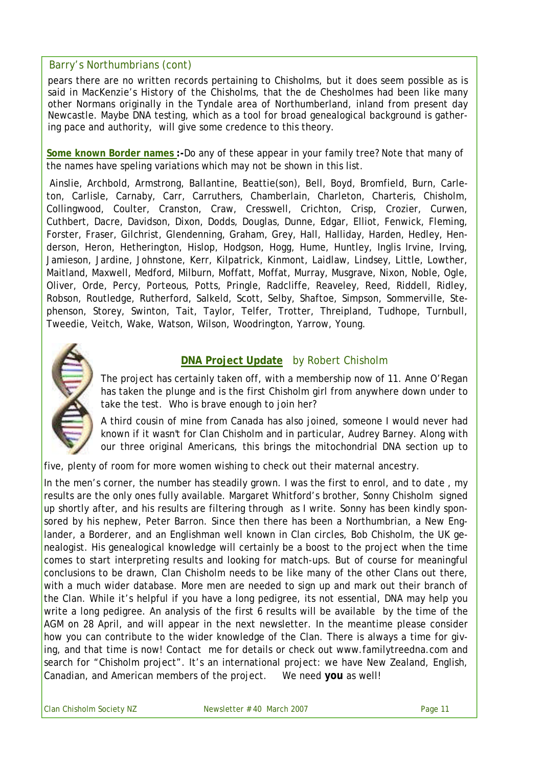# Barry's Northumbrians (cont)

pears there are no written records pertaining to Chisholms, but it does seem possible as is said in MacKenzie's *History of the Chisholms*, that the de Chesholmes had been like many other Normans originally in the Tyndale area of Northumberland, inland from present day Newcastle. Maybe DNA testing, which as a tool for broad genealogical background is gathering pace and authority, will give some credence to this theory.

**Some known Border names :-**Do any of these appear in your family tree? Note that many of the names have speling variations which may not be shown in this list.

Ainslie, Archbold, Armstrong, Ballantine, Beattie(son), Bell, Boyd, Bromfield, Burn, Carleton, Carlisle, Carnaby, Carr, Carruthers, Chamberlain, Charleton, Charteris, Chisholm, Collingwood, Coulter, Cranston, Craw, Cresswell, Crichton, Crisp, Crozier, Curwen, Cuthbert, Dacre, Davidson, Dixon, Dodds, Douglas, Dunne, Edgar, Elliot, Fenwick, Fleming, Forster, Fraser, Gilchrist, Glendenning, Graham, Grey, Hall, Halliday, Harden, Hedley, Henderson, Heron, Hetherington, Hislop, Hodgson, Hogg, Hume, Huntley, Inglis Irvine, Irving, Jamieson, Jardine, Johnstone, Kerr, Kilpatrick, Kinmont, Laidlaw, Lindsey, Little, Lowther, Maitland, Maxwell, Medford, Milburn, Moffatt, Moffat, Murray, Musgrave, Nixon, Noble, Ogle, Oliver, Orde, Percy, Porteous, Potts, Pringle, Radcliffe, Reaveley, Reed, Riddell, Ridley, Robson, Routledge, Rutherford, Salkeld, Scott, Selby, Shaftoe, Simpson, Sommerville, Stephenson, Storey, Swinton, Tait, Taylor, Telfer, Trotter, Threipland, Tudhope, Turnbull, Tweedie, Veitch, Wake, Watson, Wilson, Woodrington, Yarrow, Young.



# **DNA Project Update** by Robert Chisholm

The project has certainly taken off, with a membership now of 11. Anne O'Regan has taken the plunge and is the first Chisholm girl from anywhere down under to take the test. Who is brave enough to join her?

A third cousin of mine from Canada has also joined, someone I would never had known if it wasn't for Clan Chisholm and in particular, Audrey Barney. Along with our three original Americans, this brings the mitochondrial DNA section up to

five, plenty of room for more women wishing to check out their maternal ancestry.

In the men's corner, the number has steadily grown. I was the first to enrol, and to date, my results are the only ones fully available. Margaret Whitford's brother, Sonny Chisholm signed up shortly after, and his results are filtering through as I write. Sonny has been kindly sponsored by his nephew, Peter Barron. Since then there has been a Northumbrian, a New Englander, a Borderer, and an Englishman well known in Clan circles, Bob Chisholm, the UK genealogist. His genealogical knowledge will certainly be a boost to the project when the time comes to start interpreting results and looking for match-ups. But of course for meaningful conclusions to be drawn, Clan Chisholm needs to be like many of the other Clans out there, with a much wider database. More men are needed to sign up and mark out their branch of the Clan. While it's helpful if you have a long pedigree, its not essential, DNA may help you write a long pedigree. An analysis of the first 6 results will be available by the time of the AGM on 28 April, and will appear in the next newsletter. In the meantime please consider how you can contribute to the wider knowledge of the Clan. There is always a time for giving, and that time is now! Contact me for details or check out www.familytreedna.com and search for "Chisholm project". It's an international project: we have New Zealand, English, Canadian, and American members of the project. We need **you** as well!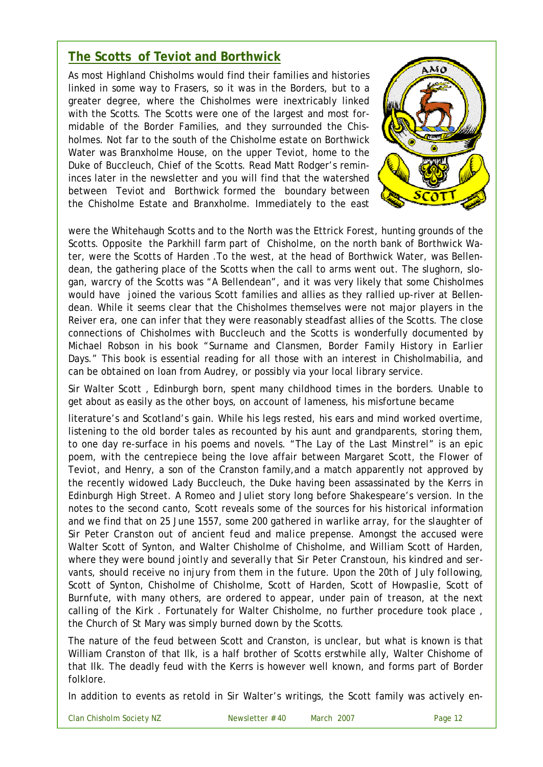# **The Scotts of Teviot and Borthwick**

As most Highland Chisholms would find their families and histories linked in some way to Frasers, so it was in the Borders, but to a greater degree, where the Chisholmes were inextricably linked with the Scotts. The Scotts were one of the largest and most formidable of the Border Families, and they surrounded the Chisholmes. Not far to the south of the Chisholme estate on Borthwick Water was Branxholme House, on the upper Teviot, home to the Duke of Buccleuch, Chief of the Scotts. Read Matt Rodger's remininces later in the newsletter and you will find that the watershed between Teviot and Borthwick formed the boundary between the Chisholme Estate and Branxholme. Immediately to the east



were the Whitehaugh Scotts and to the North was the Ettrick Forest, hunting grounds of the Scotts. Opposite the Parkhill farm part of Chisholme, on the north bank of Borthwick Water, were the Scotts of Harden .To the west, at the head of Borthwick Water, was Bellendean, the gathering place of the Scotts when the call to arms went out. The slughorn, slogan, warcry of the Scotts was "A Bellendean", and it was very likely that some Chisholmes would have joined the various Scott families and allies as they rallied up-river at Bellendean. While it seems clear that the Chisholmes themselves were not major players in the Reiver era, one can infer that they were reasonably steadfast allies of the Scotts. The close connections of Chisholmes with Buccleuch and the Scotts is wonderfully documented by Michael Robson in his book "*Surname and Clansmen, Border Family History in Earlier Days."* This book is essential reading for all those with an interest in Chisholmabilia, and can be obtained on loan from Audrey, or possibly via your local library service.

Sir Walter Scott , Edinburgh born, spent many childhood times in the borders. Unable to get about as easily as the other boys, on account of lameness, his misfortune became

literature's and Scotland's gain. While his legs rested, his ears and mind worked overtime, listening to the old border tales as recounted by his aunt and grandparents, storing them, to one day re-surface in his poems and novels. "*The Lay of the Last Minstrel*" is an epic poem, with the centrepiece being the love affair between Margaret Scott, the *Flower of Teviot*, and Henry, a son of the Cranston family,and a match apparently not approved by the recently widowed Lady Buccleuch, the Duke having been assassinated by the Kerrs in Edinburgh High Street. A Romeo and Juliet story long before Shakespeare's version. In the notes to the second canto, Scott reveals some of the sources for his historical information and we find that on 25 June 1557, *some 200 gathered in warlike array, for the slaughter of Sir Peter Cranston out of ancient feud and malice prepense.* Amongst the accused were Walter Scott of Synton, and Walter Chisholme of Chisholme, and William Scott of Harden, where they were *bound jointly and severally that Sir Peter Cranstoun, his kindred and servants, should receive no injury from them in the future. Upon the 20th of July following, Scott of Synton, Chisholme of Chisholme, Scott of Harden, Scott of Howpaslie, Scott of Burnfute, with many others, are ordered to appear, under pain of treason, at the next calling of the Kirk* . Fortunately for Walter Chisholme, no further procedure took place , the Church of St Mary was simply burned down by the Scotts.

The nature of the feud between Scott and Cranston, is unclear, but what is known is that William Cranston of that Ilk, is a half brother of Scotts erstwhile ally, Walter Chishome of that Ilk. The deadly feud with the Kerrs is however well known, and forms part of Border folklore.

In addition to events as retold in Sir Walter's writings, the Scott family was actively en-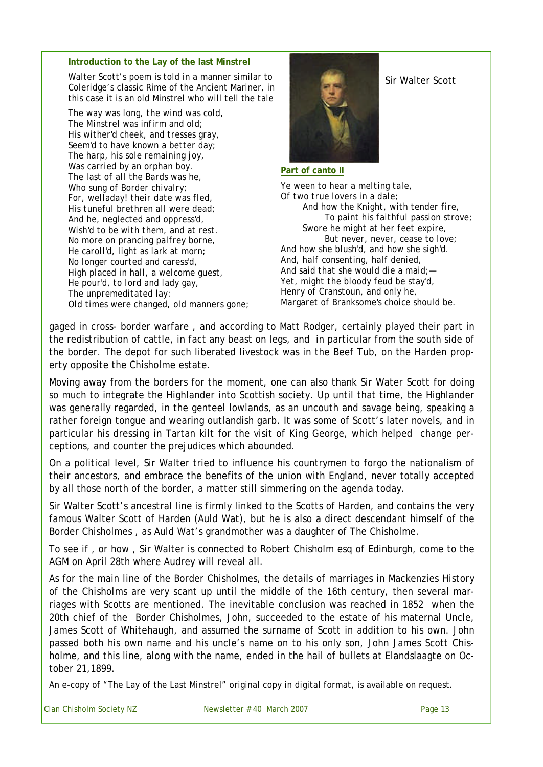#### **Introduction to the Lay of the last Minstrel**

Walter Scott's poem is told in a manner similar to Coleridge's classic Rime of the Ancient Mariner, in this case it is an old Minstrel who will tell the tale

*The way was long, the wind was cold, The Minstrel was infirm and old; His wither'd cheek, and tresses gray, Seem'd to have known a better day; The harp, his sole remaining joy, Was carried by an orphan boy. The last of all the Bards was he, Who sung of Border chivalry; For, welladay! their date was fled, His tuneful brethren all were dead; And he, neglected and oppress'd, Wish'd to be with them, and at rest. No more on prancing palfrey borne, He caroll'd, light as lark at morn; No longer courted and caress'd, High placed in hall, a welcome guest, He pour'd, to lord and lady gay, The unpremeditated lay: Old times were changed, old manners gone;*



Sir Walter Scott

#### **Part of canto II**

*Ye ween to hear a melting tale, Of two true lovers in a dale; And how the Knight, with tender fire, To paint his faithful passion strove; Swore he might at her feet expire, But never, never, cease to love; And how she blush'd, and how she sigh'd. And, half consenting, half denied, And said that she would die a maid;— Yet, might the bloody feud be stay'd, Henry of Cranstoun, and only he, Margaret of Branksome's choice should be.* 

gaged in cross- border warfare , and according to Matt Rodger, certainly played their part in the redistribution of cattle, in fact any beast on legs, and in particular from the south side of the border. The depot for such liberated livestock was in the Beef Tub, on the Harden property opposite the Chisholme estate.

Moving away from the borders for the moment, one can also thank Sir Water Scott for doing so much to integrate the Highlander into Scottish society. Up until that time, the Highlander was generally regarded, in the genteel lowlands, as an uncouth and savage being, speaking a rather foreign tongue and wearing outlandish garb. It was some of Scott's later novels, and in particular his dressing in Tartan kilt for the visit of King George, which helped change perceptions, and counter the prejudices which abounded.

On a political level, Sir Walter tried to influence his countrymen to forgo the nationalism of their ancestors, and embrace the benefits of the union with England, never totally accepted by all those north of the border, a matter still simmering on the agenda today.

Sir Walter Scott's ancestral line is firmly linked to the Scotts of Harden, and contains the very famous Walter Scott of Harden (Auld Wat), but he is also a direct descendant himself of the Border Chisholmes , as Auld Wat's grandmother was a daughter of The Chisholme.

To see if , or how , Sir Walter is connected to Robert Chisholm esq of Edinburgh, come to the AGM on April 28th where Audrey will reveal all.

As for the main line of the Border Chisholmes, the details of marriages in Mackenzies *History of the Chisholms* are very scant up until the middle of the 16th century, then several marriages with Scotts are mentioned. The inevitable conclusion was reached in 1852 when the 20th chief of the Border Chisholmes, John, succeeded to the estate of his maternal Uncle, James Scott of Whitehaugh, and assumed the surname of Scott in addition to his own. John passed both his own name and his uncle's name on to his only son, John James Scott Chisholme, and this line, along with the name, ended in the hail of bullets at Elandslaagte on October 21,1899.

An e-copy of "The Lay of the Last Minstrel" original copy in digital format, is available on request.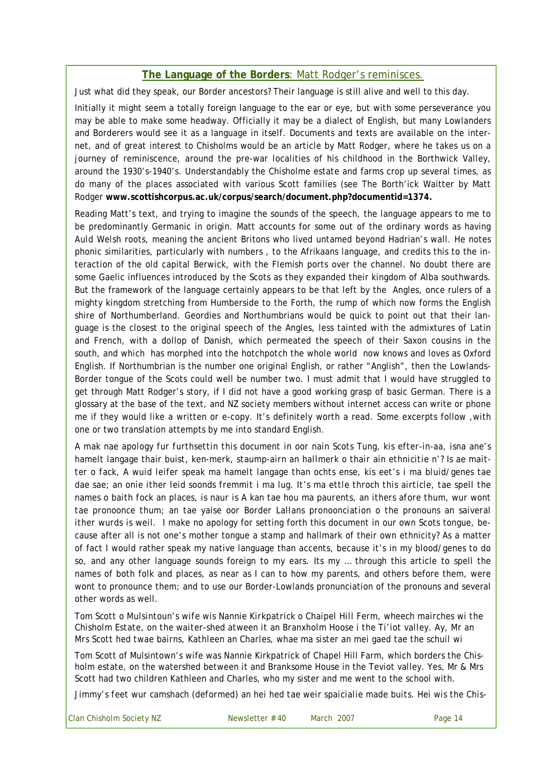# **The Language of the Borders**: Matt Rodger's reminisces.

Just what did they speak, our Border ancestors? Their language is still alive and well to this day.

Initially it might seem a totally foreign language to the ear or eye, but with some perseverance you may be able to make some headway. Officially it may be a dialect of English, but many Lowlanders and Borderers would see it as a language in itself. Documents and texts are available on the internet, and of great interest to Chisholms would be an article by Matt Rodger, where he takes us on a journey of reminiscence, around the pre-war localities of his childhood in the Borthwick Valley, around the 1930's-1940's. Understandably the Chisholme estate and farms crop up several times, as do many of the places associated with various Scott families (see The Borth'ick Waitter by Matt Rodger **www.scottishcorpus.ac.uk/corpus/search/document.php?documentid=1374.**

Reading Matt's text, and trying to imagine the sounds of the speech, the language appears to me to be predominantly Germanic in origin. Matt accounts for some out of the ordinary words as having *Auld Welsh* roots, meaning the ancient Britons who lived untamed beyond Hadrian's wall. He notes phonic similarities, particularly with numbers , to the Afrikaans language, and credits this to the interaction of the old capital Berwick, with the Flemish ports over the channel. No doubt there are some Gaelic influences introduced by the Scots as they expanded their kingdom of Alba southwards. But the framework of the language certainly appears to be that left by the Angles, once rulers of a mighty kingdom stretching from Humberside to the Forth, the rump of which now forms the English shire of Northumberland. Geordies and Northumbrians would be quick to point out that their language is the closest to the original speech of the Angles, less tainted with the admixtures of Latin and French, with a dollop of Danish, which permeated the speech of their Saxon cousins in the south, and which has morphed into the hotchpotch the whole world now knows and loves as Oxford English. If Northumbrian is the number one original English, or rather "Anglish", then the Lowlands-Border tongue of the Scots could well be number two. I must admit that I would have struggled to get through Matt Rodger's story, if I did not have a good working grasp of basic German. There is a glossary at the base of the text, and NZ society members without internet access can write or phone me if they would like a written or e-copy. It's definitely worth a read. Some excerpts follow ,with one or two translation attempts by me into standard English.

*A mak nae apology fur furthsettin this document in oor nain Scots Tung, kis efter-in-aa, isna ane's hamelt langage thair buist, ken-merk, staump-airn an hallmerk o thair ain ethnicitie n'? Is ae maitter o fack, A wuid leifer speak ma hamelt langage than ochts ense, kis eet's i ma bluid/genes tae dae sae; an onie ither leid soonds fremmit i ma lug. It's ma ettle throch this airticle, tae spell the names o baith fock an places, is naur is A kan tae hou ma paurents, an ithers afore thum, wur wont tae pronoonce thum; an tae yaise oor Border Lallans pronoonciation o the pronouns an saiveral ither wurds is weil.* I make no apology for setting forth this document in our own Scots tongue, because after all is not one's mother tongue a stamp and hallmark of their own ethnicity? As a matter of fact I would rather speak my native language than accents, because it's in my blood/genes to do so, and any other language sounds foreign to my ears. Its my … through this article to spell the names of both folk and places, as near as I can to how my parents, and others before them, were wont to pronounce them; and to use our Border-Lowlands pronunciation of the pronouns and several other words as well.

*Tom Scott o Mulsintoun's wife wis Nannie Kirkpatrick o Chaipel Hill Ferm, wheech mairches wi the Chisholm Estate, on the waiter-shed atween it an Branxholm Hoose i the Ti'iot valley. Ay, Mr an Mrs Scott hed twae bairns, Kathleen an Charles, whae ma sister an mei gaed tae the schuil wi* 

Tom Scott of Mulsintown's wife was Nannie Kirkpatrick of Chapel Hill Farm, which borders the Chisholm estate, on the watershed between it and Branksome House in the Teviot valley. Yes, Mr & Mrs Scott had two children Kathleen and Charles, who my sister and me went to the school with.

*Jimmy's feet wur camshach (deformed) an hei hed tae weir spaicialie made buits. Hei wis the Chis-*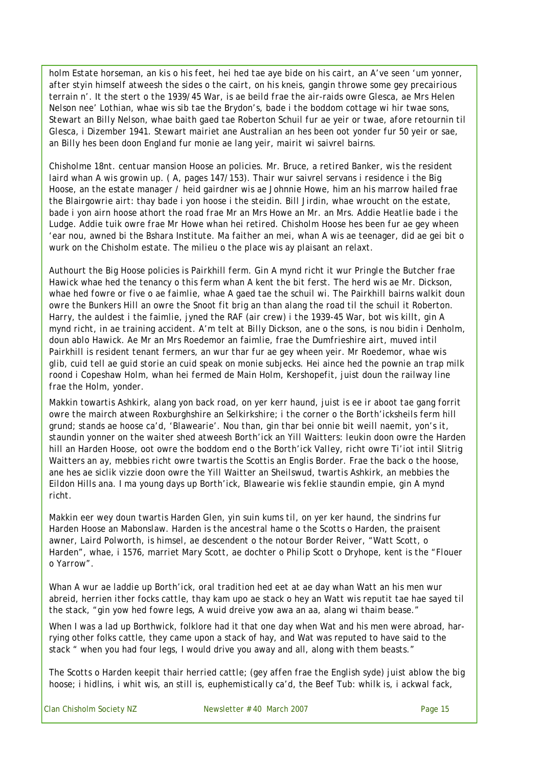*holm Estate horseman, an kis o his feet, hei hed tae aye bide on his cairt, an A've seen 'um yonner, after styin himself atweesh the sides o the cairt, on his kneis, gangin throwe some gey precairious terrain n'. It the stert o the 1939/45 War, is ae beild frae the air-raids owre Glesca, ae Mrs Helen Nelson nee' Lothian, whae wis sib tae the Brydon's, bade i the boddom cottage wi hir twae sons, Stewart an Billy Nelson, whae baith gaed tae Roberton Schuil fur ae yeir or twae, afore retournin til Glesca, i Dizember 1941. Stewart mairiet ane Australian an hes been oot yonder fur 50 yeir or sae, an Billy hes been doon England fur monie ae lang yeir, mairit wi saivrel bairns.*

*Chisholme 18nt. centuar mansion Hoose an policies. Mr. Bruce, a retired Banker, wis the resident laird whan A wis growin up. ( A, pages 147/153). Thair wur saivrel servans i residence i the Big Hoose, an the estate manager / heid gairdner wis ae Johnnie Howe, him an his marrow hailed frae the Blairgowrie airt: thay bade i yon hoose i the steidin. Bill Jirdin, whae wroucht on the estate,*  bade *i* yon airn hoose athort the road frae Mr an Mrs Howe an Mr. an Mrs. Addie Heatlie bade *i* the Ludge. Addie tuik owre frae Mr Howe whan hei retired. Chisholm Hoose hes been fur ae gey wheen *'ear nou, awned bi the Bshara Institute. Ma faither an mei, whan A wis ae teenager, did ae gei bit o wurk on the Chisholm estate. The milieu o the place wis ay plaisant an relaxt.*

*Authourt the Big Hoose policies is Pairkhill ferm. Gin A mynd richt it wur Pringle the Butcher frae Hawick whae hed the tenancy o this ferm whan A kent the bit ferst. The herd wis ae Mr. Dickson, whae hed fowre or five o ae faimlie, whae A gaed tae the schuil wi. The Pairkhill bairns walkit doun owre the Bunkers Hill an owre the Snoot fit brig an than alang the road til the schuil it Roberton. Harry, the auldest i the faimlie, jyned the RAF (air crew) i the 1939-45 War, bot wis killt, gin A mynd richt, in ae training accident. A'm telt at Billy Dickson, ane o the sons, is nou bidin i Denholm,*  doun ablo Hawick. Ae Mr an Mrs Roedemor an faimlie, frae the Dumfrieshire airt, muved intil *Pairkhill is resident tenant fermers, an wur thar fur ae gey wheen yeir. Mr Roedemor, whae wis glib, cuid tell ae guid storie an cuid speak on monie subjecks. Hei aince hed the pownie an trap milk roond i Copeshaw Holm, whan hei fermed de Main Holm, Kershopefit, juist doun the railway line frae the Holm, yonder.* 

*Makkin towartis Ashkirk, alang yon back road, on yer kerr haund, juist is ee ir aboot tae gang forrit owre the mairch atween Roxburghshire an Selkirkshire; i the corner o the Borth'icksheils ferm hill grund; stands ae hoose ca'd, 'Blawearie'. Nou than, gin thar bei onnie bit weill naemit, yon's it, staundin yonner on the waiter shed atweesh Borth'ick an Yill Waitters: leukin doon owre the Harden hill an Harden Hoose, oot owre the boddom end o the Borth'ick Valley, richt owre Ti'iot intil Slitrig Waitters an ay, mebbies richt owre twartis the Scottis an Englis Border. Frae the back o the hoose, ane hes ae siclik vizzie doon owre the Yill Waitter an Sheilswud, twartis Ashkirk, an mebbies the Eildon Hills ana. I ma young days up Borth'ick, Blawearie wis feklie staundin empie, gin A mynd richt.*

*Makkin eer wey doun twartis Harden Glen, yin suin kums til, on yer ker haund, the sindrins fur Harden Hoose an Mabonslaw. Harden is the ancestral hame o the Scotts o Harden, the praisent awner, Laird Polworth, is himsel, ae descendent o the notour Border Reiver, "Watt Scott, o Harden", whae, i 1576, marriet Mary Scott, ae dochter o Philip Scott o Dryhope, kent is the "Flouer o Yarrow".*

*Whan A wur ae laddie up Borth'ick, oral tradition hed eet at ae day whan Watt an his men wur abreid, herrien ither focks cattle, thay kam upo ae stack o hey an Watt wis reputit tae hae sayed til the stack, "gin yow hed fowre legs, A wuid dreive yow awa an aa, alang wi thaim bease."* 

When I was a lad up Borthwick, folklore had it that one day when Wat and his men were abroad, harrying other folks cattle, they came upon a stack of hay, and Wat was reputed to have said to the stack " when you had four legs, I would drive you away and all, along with them beasts."

*The Scotts o Harden keepit thair herried cattle; (gey affen frae the English syde) juist ablow the big hoose; i hidlins, i whit wis, an still is, euphemistically ca'd, the Beef Tub: whilk is, i ackwal fack,*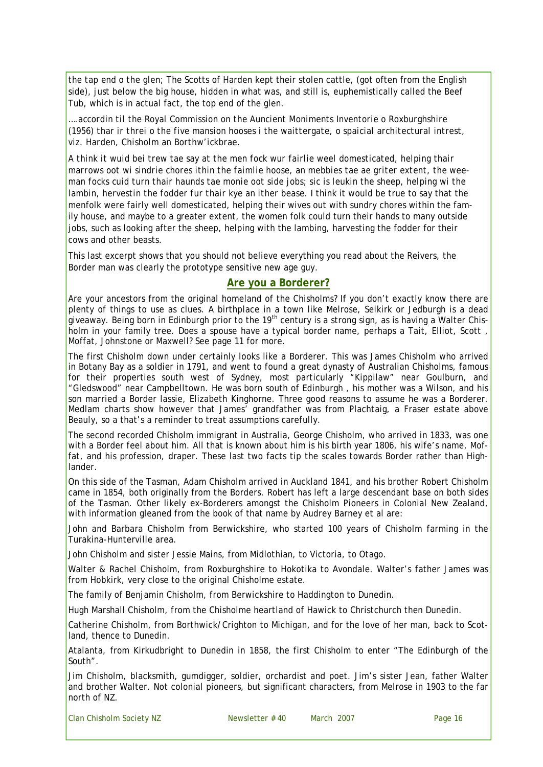*the tap end o the glen;* The Scotts of Harden kept their stolen cattle, (got often from the English side), just below the big house, hidden in what was, and still is, euphemistically called the Beef Tub, which is in actual fact, the top end of the glen.

*….accordin til the Royal Commission on the Auncient Moniments Inventorie o Roxburghshire (1956) thar ir threi o the five mansion hooses i the waittergate, o spaicial architectural intrest, viz. Harden, Chisholm an Borthw'ickbrae.* 

*A think it wuid bei trew tae say at the men fock wur fairlie weel domesticated, helping thair marrows oot wi sindrie chores ithin the faimlie hoose, an mebbies tae ae griter extent, the weeman focks cuid turn thair haunds tae monie oot side jobs; sic is leukin the sheep, helping wi the*  lambin, hervestin the fodder fur thair kye an ither bease. I think it would be true to say that the menfolk were fairly well domesticated, helping their wives out with sundry chores within the family house, and maybe to a greater extent, the women folk could turn their hands to many outside jobs, such as looking after the sheep, helping with the lambing, harvesting the fodder for their cows and other beasts.

This last excerpt shows that you should not believe everything you read about the Reivers, the Border man was clearly the prototype sensitive new age guy.

#### **Are you a Borderer?**

Are your ancestors from the original homeland of the Chisholms? If you don't exactly know there are plenty of things to use as clues. A birthplace in a town like Melrose, Selkirk or Jedburgh is a dead giveaway. Being born in Edinburgh prior to the 19<sup>th</sup> century is a strong sign, as is having a Walter Chisholm in your family tree. Does a spouse have a typical border name, perhaps a Tait, Elliot, Scott , Moffat, Johnstone or Maxwell? See page 11 for more.

The first Chisholm down under certainly looks like a Borderer. This was James Chisholm who arrived in Botany Bay as a soldier in 1791, and went to found a great dynasty of Australian Chisholms, famous for their properties south west of Sydney, most particularly "Kippilaw" near Goulburn, and "Gledswood" near Campbelltown. He was born south of Edinburgh , his mother was a Wilson, and his son married a Border lassie, Elizabeth Kinghorne. Three good reasons to assume he was a Borderer. Medlam charts show however that James' grandfather was from Plachtaig, a Fraser estate above Beauly, so a that's a reminder to treat assumptions carefully.

The second recorded Chisholm immigrant in Australia, George Chisholm, who arrived in 1833, was one with a Border feel about him. All that is known about him is his birth year 1806, his wife's name, Moffat, and his profession, draper. These last two facts tip the scales towards Border rather than Highlander.

On this side of the Tasman, Adam Chisholm arrived in Auckland 1841, and his brother Robert Chisholm came in 1854, both originally from the Borders. Robert has left a large descendant base on both sides of the Tasman. Other likely ex-Borderers amongst the Chisholm Pioneers in Colonial New Zealand, with information gleaned from the book of that name by Audrey Barney et al are:

John and Barbara Chisholm from Berwickshire, who started 100 years of Chisholm farming in the Turakina-Hunterville area.

John Chisholm and sister Jessie Mains, from Midlothian, to Victoria, to Otago.

Walter & Rachel Chisholm, from Roxburghshire to Hokotika to Avondale. Walter's father James was from Hobkirk, very close to the original Chisholme estate.

The family of Benjamin Chisholm, from Berwickshire to Haddington to Dunedin.

Hugh Marshall Chisholm, from the Chisholme heartland of Hawick to Christchurch then Dunedin.

Catherine Chisholm, from Borthwick/Crighton to Michigan, and for the love of her man, back to Scotland, thence to Dunedin.

Atalanta, from Kirkudbright to Dunedin in 1858, the first Chisholm to enter "The Edinburgh of the South".

Jim Chisholm, blacksmith, gumdigger, soldier, orchardist and poet. Jim's sister Jean, father Walter and brother Walter. Not colonial pioneers, but significant characters, from Melrose in 1903 to the far north of NZ.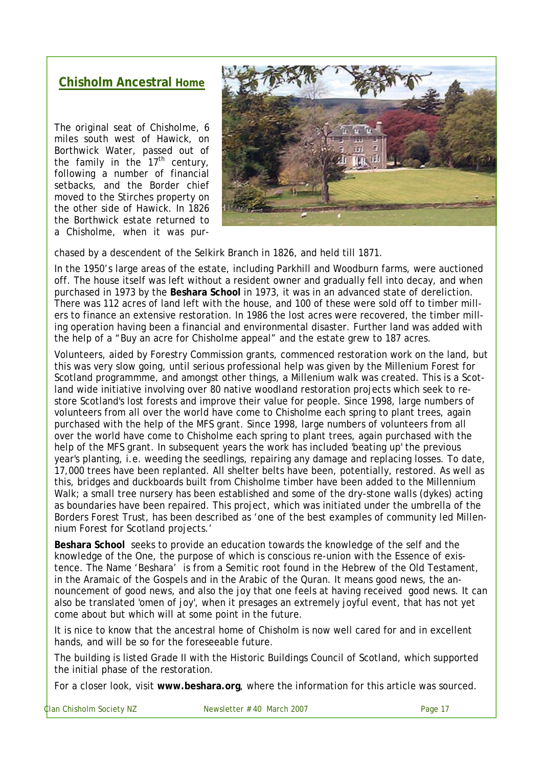# **Chisholm Ancestral Home**

The original seat of Chisholme, 6 miles south west of Hawick, on Borthwick Water, passed out of the family in the  $17<sup>th</sup>$  century, following a number of financial setbacks, and the Border chief moved to the Stirches property on the other side of Hawick. In 1826 the Borthwick estate returned to a Chisholme, when it was pur-



chased by a descendent of the Selkirk Branch in 1826, and held till 1871.

In the 1950's large areas of the estate, including Parkhill and Woodburn farms, were auctioned off. The house itself was left without a resident owner and gradually fell into decay, and when purchased in 1973 by the **Beshara School** in 1973, it was in an advanced state of dereliction. There was 112 acres of land left with the house, and 100 of these were sold off to timber millers to finance an extensive restoration. In 1986 the lost acres were recovered, the timber milling operation having been a financial and environmental disaster. Further land was added with the help of a "Buy an acre for Chisholme appeal" and the estate grew to 187 acres.

Volunteers, aided by Forestry Commission grants, commenced restoration work on the land, but this was very slow going, until serious professional help was given by the Millenium Forest for Scotland programmme, and amongst other things, a Millenium walk was created. This is a Scotland wide initiative involving over 80 native woodland restoration projects which seek to restore Scotland's lost forests and improve their value for people. Since 1998, large numbers of volunteers from all over the world have come to Chisholme each spring to plant trees, again purchased with the help of the MFS grant. Since 1998, large numbers of volunteers from all over the world have come to Chisholme each spring to plant trees, again purchased with the help of the MFS grant. In subsequent years the work has included 'beating up' the previous year's planting, i.e. weeding the seedlings, repairing any damage and replacing losses. To date, 17,000 trees have been replanted. All shelter belts have been, potentially, restored. As well as this, bridges and duckboards built from Chisholme timber have been added to the Millennium Walk; a small tree nursery has been established and some of the dry-stone walls (dykes) acting as boundaries have been repaired. This project, which was initiated under the umbrella of the Borders Forest Trust, has been described as 'one of the best examples of community led Millennium Forest for Scotland projects.'

**Beshara School** seeks to provide an education towards the knowledge of the self and the knowledge of the One, the purpose of which is conscious re-union with the Essence of existence. The Name 'Beshara' is from a Semitic root found in the Hebrew of the Old Testament, in the Aramaic of the Gospels and in the Arabic of the Quran. It means good news, the announcement of good news, and also the joy that one feels at having received good news. It can also be translated 'omen of joy', when it presages an extremely joyful event, that has not yet come about but which will at some point in the future.

It is nice to know that the ancestral home of Chisholm is now well cared for and in excellent hands, and will be so for the foreseeable future.

The building is listed Grade II with the Historic Buildings Council of Scotland, which supported the initial phase of the restoration.

For a closer look, visit **www.beshara.org**, where the information for this article was sourced.